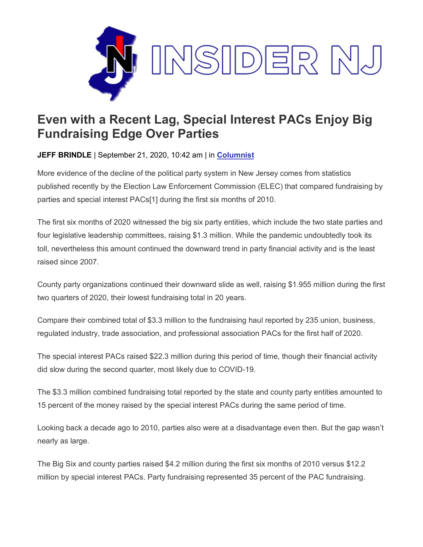

## **Even with a Recent Lag, Special Interest PACs Enjoy Big Fundraising Edge Over Parties**

**JEFF BRINDLE** | September 21, 2020, 10:42 am | in **[Columnist](https://www.insidernj.com/category/columnist/)**

More evidence of the decline of the political party system in New Jersey comes from statistics published recently by the Election Law Enforcement Commission (ELEC) that compared fundraising by parties and special interest PACs[1] during the first six months of 2010.

The first six months of 2020 witnessed the big six party entities, which include the two state parties and four legislative leadership committees, raising \$1.3 million. While the pandemic undoubtedly took its toll, nevertheless this amount continued the downward trend in party financial activity and is the least raised since 2007.

County party organizations continued their downward slide as well, raising \$1.955 million during the first two quarters of 2020, their lowest fundraising total in 20 years.

Compare their combined total of \$3.3 million to the fundraising haul reported by 235 union, business, regulated industry, trade association, and professional association PACs for the first half of 2020.

The special interest PACs raised \$22.3 million during this period of time, though their financial activity did slow during the second quarter, most likely due to COVID-19.

The \$3.3 million combined fundraising total reported by the state and county party entities amounted to 15 percent of the money raised by the special interest PACs during the same period of time.

Looking back a decade ago to 2010, parties also were at a disadvantage even then. But the gap wasn't nearly as large.

The Big Six and county parties raised \$4.2 million during the first six months of 2010 versus \$12.2 million by special interest PACs. Party fundraising represented 35 percent of the PAC fundraising.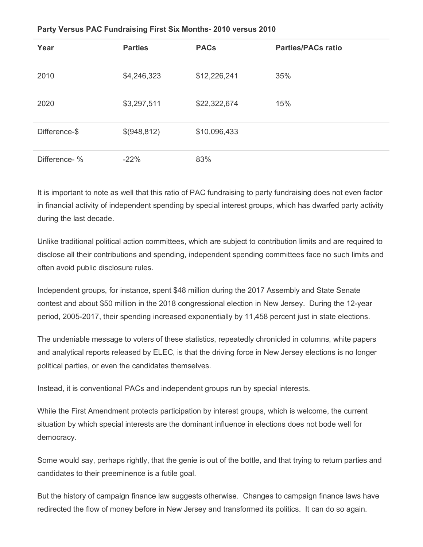| Year          | <b>Parties</b> | <b>PACs</b>  | <b>Parties/PACs ratio</b> |
|---------------|----------------|--------------|---------------------------|
| 2010          | \$4,246,323    | \$12,226,241 | 35%                       |
| 2020          | \$3,297,511    | \$22,322,674 | 15%                       |
| Difference-\$ | \$(948,812)    | \$10,096,433 |                           |
| Difference- % | $-22%$         | 83%          |                           |

## **Party Versus PAC Fundraising First Six Months- 2010 versus 2010**

It is important to note as well that this ratio of PAC fundraising to party fundraising does not even factor in financial activity of independent spending by special interest groups, which has dwarfed party activity during the last decade.

Unlike traditional political action committees, which are subject to contribution limits and are required to disclose all their contributions and spending, independent spending committees face no such limits and often avoid public disclosure rules.

Independent groups, for instance, spent \$48 million during the 2017 Assembly and State Senate contest and about \$50 million in the 2018 congressional election in New Jersey. During the 12-year period, 2005-2017, their spending increased exponentially by 11,458 percent just in state elections.

The undeniable message to voters of these statistics, repeatedly chronicled in columns, white papers and analytical reports released by ELEC, is that the driving force in New Jersey elections is no longer political parties, or even the candidates themselves.

Instead, it is conventional PACs and independent groups run by special interests.

While the First Amendment protects participation by interest groups, which is welcome, the current situation by which special interests are the dominant influence in elections does not bode well for democracy.

Some would say, perhaps rightly, that the genie is out of the bottle, and that trying to return parties and candidates to their preeminence is a futile goal.

But the history of campaign finance law suggests otherwise. Changes to campaign finance laws have redirected the flow of money before in New Jersey and transformed its politics. It can do so again.